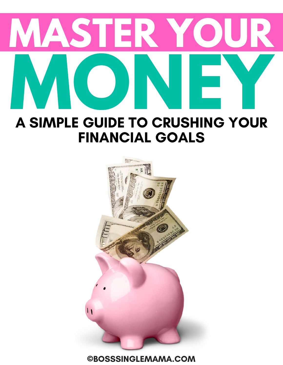

# FINANCIAL GOALS

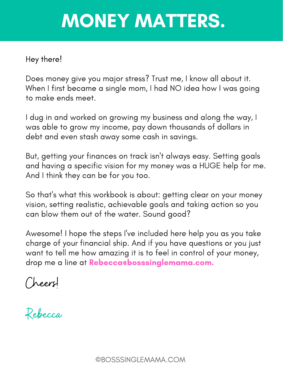# MONEY MATTERS.

#### Hey there!

Does money give you major stress? Trust me, I know all about it. When I first became a single mom, I had NO idea how I was going to make ends meet.

I dug in and worked on growing my business and along the way, I was able to grow my income, pay down thousands of dollars in debt and even stash away some cash in savings.

But, getting your finances on track isn't always easy. Setting goals and having a specific vision for my money was a HUGE help for me. And I think they can be for you too.

So that's what this workbook is about: getting clear on your money vision, setting realistic, achievable goals and taking action so you can blow them out of the water. Sound good?

Awesome! I hope the steps I've included here help you as you take charge of your financial ship. And if you have questions or you just want to tell me how amazing it is to feel in control of your money, drop me a line at Rebecca@bosssinglemama.com.

Cheers!

Rebecca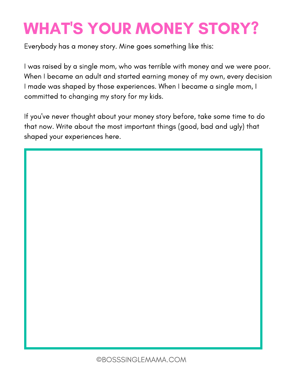# WHAT'S YOUR MONEY STORY?

Everybody has a money story. Mine goes something like this:

I was raised by a single mom, who was terrible with money and we were poor. When I became an adult and started earning money of my own, every decision I made was shaped by those experiences. When I became a single mom, I committed to changing my story for my kids.

If you've never thought about your money story before, take some time to do that now. Write about the most important things (good, bad and ugly) that shaped your experiences here.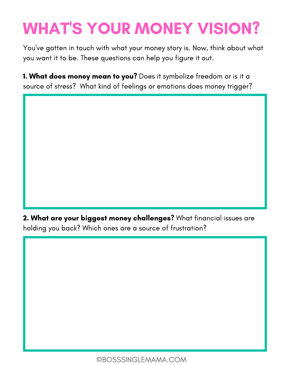# WHAT'S YOUR MONEY VISION?

You've gotten in touch with what your money story is. Now, think about what you want it to be. These questions can help you figure it out.

1. What does money mean to you? Does it symbolize freedom or is it a source of stress? What kind of feelings or emotions does money trigger?

2. What are your biggest money challenges? What financial issues are holding you back? Which ones are a source of frustration?

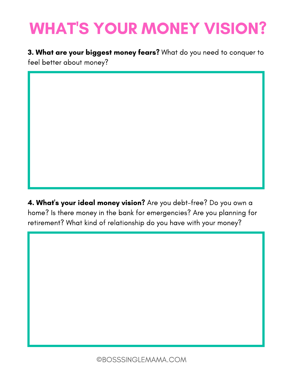## WHAT'S YOUR MONEY VISION?

**3. What are your biggest money fears?** What do you need to conquer to feel better about money?

4. What's your ideal money vision? Are you debt-free? Do you own a home? Is there money in the bank for emergencies? Are you planning for retirement? What kind of relationship do you have with your money?

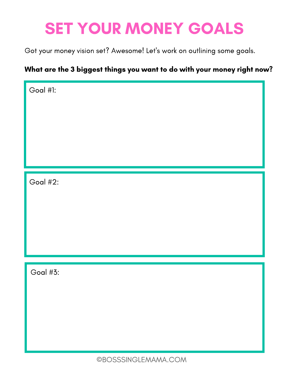### SET YOUR MONEY GOALS

Got your money vision set? Awesome! Let's work on outlining some goals.

#### What are the 3 biggest things you want to do with your money right now?

Goal #1:

Goal #2:

Goal #3: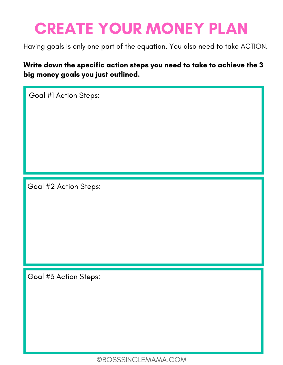### CREATE YOUR MONEY PLAN

Having goals is only one part of the equation. You also need to take ACTION.

Write down the specific action steps you need to take to achieve the 3 big money goals you just outlined.

Goal #1 Action Steps:

Goal #2 Action Steps:

Goal #3 Action Steps: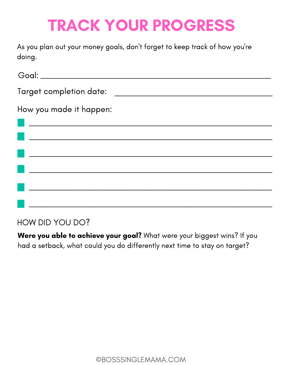### TRACK YOUR PROGRESS

As you plan out your money goals, don't forget to keep track of how you're doing.

| Target completion date: _______                                                                                                                                                                                                                                 |  |
|-----------------------------------------------------------------------------------------------------------------------------------------------------------------------------------------------------------------------------------------------------------------|--|
| How you made it happen:<br><u> Estados de la contrada de la contrada de la contrada de la contrada de la contrada de la contrada de la contrada de la contrada de la contrada de la contrada de la contrada de la contrada de la contrada de la contrada de</u> |  |
|                                                                                                                                                                                                                                                                 |  |
|                                                                                                                                                                                                                                                                 |  |
|                                                                                                                                                                                                                                                                 |  |
|                                                                                                                                                                                                                                                                 |  |
|                                                                                                                                                                                                                                                                 |  |
|                                                                                                                                                                                                                                                                 |  |

#### HOW DID YOU DO?

Were you able to achieve your goal? What were your biggest wins? If you had a setback, what could you do differently next time to stay on target?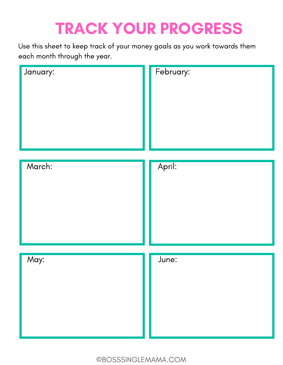# TRACK YOUR PROGRESS

Use this sheet to keep track of your money goals as you work towards them each month through the year.

| January: | February: |
|----------|-----------|
| March:   | April:    |
| May:     | June:     |